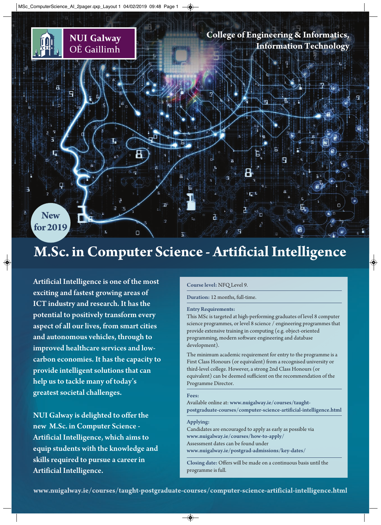

# **M.Sc. in Computer Science - Artificial Intelligence**

Artificial Intelligence is one of the most exciting and fastest growing areas of ICT industry and research. It has the potential to positively transform every aspect of all our lives, from smart cities and autonomous vehicles, through to improved healthcare services and lowcarbon economies. It has the capacity to provide intelligent solutions that can help us to tackle many of today's greatest societal challenges.

NUI Galway is delighted to offer the new M.Sc. in Computer Science - Artificial Intelligence, which aims to equip students with the knowledge and skills required to pursue a career in Artificial Intelligence.

### Course level: NFQ Level 9.

Duration: 12 months, full-time.

### Entry Requirements:

This MSc is targeted at high-performing graduates of level 8 computer science programmes, or level 8 science / engineering programmes that provide extensive training in computing (e.g. object-oriented programming, modern software engineering and database development).

 $\color{red}\blacklozenge$ 

The minimum academic requirement for entry to the programme is a First Class Honours (or equivalent) from a recognised university or third-level college. However, a strong 2nd Class Honours (or equivalent) can be deemed sufficient on the recommendation of the Programme Director.

### Fees:

Available online at: www.nuigalway.ie/courses/taughtpostgraduate-courses/computer-science-artificial-intelligence.html

### Applying:

Candidates are encouraged to apply as early as possible via www.nuigalway.ie/courses/how-to-apply/ Assessment dates can be found under www.nuigalway.ie/postgrad-admissions/key-dates/

Closing date: Offers will be made on a continuous basis until the programme is full.

www.nuigalway.ie/courses/taught-postgraduate-courses/computer-science-artificial-intelligence.html

◈